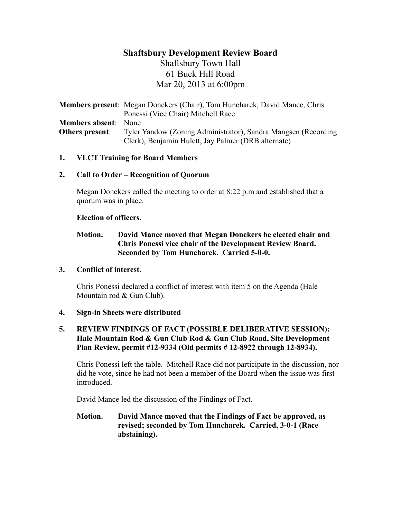# **Shaftsbury Development Review Board**

Shaftsbury Town Hall 61 Buck Hill Road Mar 20, 2013 at 6:00pm

**Members present**: Megan Donckers (Chair), Tom Huncharek, David Mance, Chris Ponessi (Vice Chair) Mitchell Race **Members absent**: None **Others present**: Tyler Yandow (Zoning Administrator), Sandra Mangsen (Recording Clerk), Benjamin Hulett, Jay Palmer (DRB alternate)

### **1. VLCT Training for Board Members**

### **2. Call to Order – Recognition of Quorum**

Megan Donckers called the meeting to order at 8:22 p.m and established that a quorum was in place.

### **Election of officers.**

# **Motion. David Mance moved that Megan Donckers be elected chair and Chris Ponessi vice chair of the Development Review Board. Seconded by Tom Huncharek. Carried 5-0-0.**

### **3. Conflict of interest.**

Chris Ponessi declared a conflict of interest with item 5 on the Agenda (Hale Mountain rod & Gun Club).

### **4. Sign-in Sheets were distributed**

### **5. REVIEW FINDINGS OF FACT (POSSIBLE DELIBERATIVE SESSION): Hale Mountain Rod & Gun Club Rod & Gun Club Road, Site Development Plan Review, permit #12-9334 (Old permits # 12-8922 through 12-8934).**

Chris Ponessi left the table. Mitchell Race did not participate in the discussion, nor did he vote, since he had not been a member of the Board when the issue was first introduced.

David Mance led the discussion of the Findings of Fact.

# **Motion. David Mance moved that the Findings of Fact be approved, as revised; seconded by Tom Huncharek. Carried, 3-0-1 (Race abstaining).**